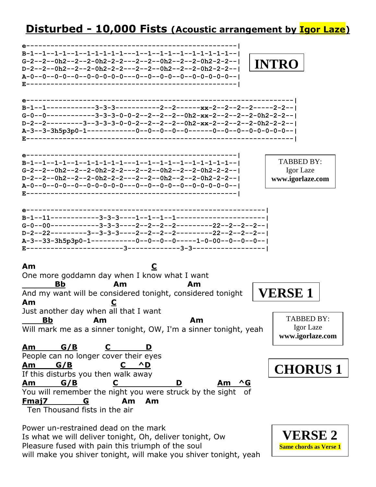## **Disturbed - 10,000 Fists (Acoustic arrangement by Igor Laze)**

**e----------------------------------------------------| B-1--1--1-1--1--1-1-1-1-1---1--1--1-1--1--1-1-1-1-1--| G-2--2--0h2--2--2-0h2-2-2---2--2--0h2--2--2-0h2-2-2--| D-2--2--0h2--2--2-0h2-2-2---2--2--0h2--2--2-0h2-2-2--| A-0--0--0-0--0--0-0-0-0-0---0--0--0-0--0--0-0-0-0-0--| E----------------------------------------------------| e------------------------------------------------------------------| B-1--1------------3-3-3-----------2--2------xx-2--2--2--2-----2-2--| G-0--0------------3-3-3-0-0-2--2--2--2--0h2-xx-2--2--2--2-0h2-2-2--| D-2--2---------3--3-3-3-0-0-2--2--2--2--0h2-xx-2--2--2--2-0h2-2-2--| A-3--3-3h5p3p0-1------------0--0--0--0--0------0--0--0--0-0-0-0-0--| E------------------------------------------------------------------| e----------------------------------------------------| B-1--1--1-1--1--1-1-1-1-1---1--1--1-1--1--1-1-1-1-1--| G-2--2--0h2--2--2-0h2-2-2---2--2--0h2--2--2-0h2-2-2--| D-2--2--0h2--2--2-0h2-2-2---2--2--0h2--2--2-0h2-2-2--| A-0--0--0-0--0--0-0-0-0-0---0--0--0-0--0--0-0-0-0-0--| E----------------------------------------------------| e-----------------------------------------------------------| B-1--11------------3-3-3----1--1--1--1----------------------| G-0--00------------3-3-3----2--2--2--2---------22--2--2--2--| D-2--22---------3--3-3-3----2--2--2--2---------22--2--2--2--| A-3--33-3h5p3p0-1-----------0--0--0--0-----1-0-00--0--0--0--| E------------------------3-------------3-3------------------| Am C** One more goddamn day when I know what I want <u>Bb</u> Am Am And my want will be considered tonight, considered tonight **Am C** Just another day when all that I want  **Bb Am Am** Will mark me as a sinner tonight, OW, I'm a sinner tonight, yeah **Am G/B C D** People can no longer cover their eyes **Am G/B C ^D** If this disturbs you then walk away **Am G/B C D Am ^G** You will remember the night you were struck by the sight of **Fmaj7 G Am Am** Ten Thousand fists in the air Power un-restrained dead on the mark TABBED BY: Igor Laze **www.igorlaze.com INTRO** TABBED BY: Igor Laze **www.igorlaze.com VERSE 1 CHORUS 1**

Is what we will deliver tonight, Oh, deliver tonight, Ow Pleasure fused with pain this triumph of the soul will make you shiver tonight, will make you shiver tonight, yeah